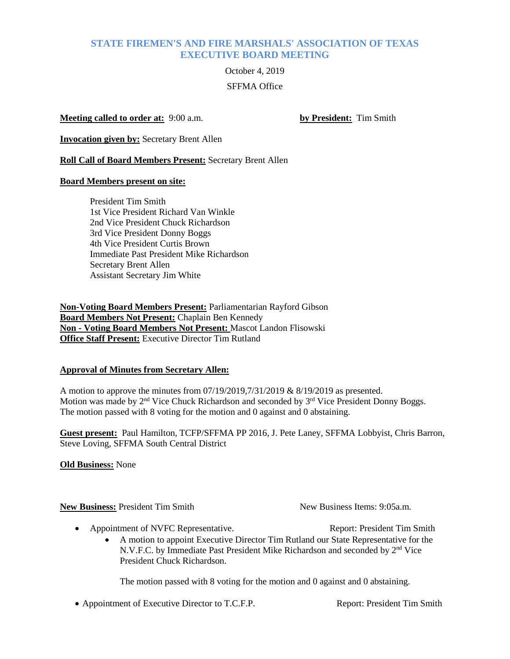# **STATE FIREMEN'S AND FIRE MARSHALS' ASSOCIATION OF TEXAS EXECUTIVE BOARD MEETING**

# October 4, 2019 SFFMA Office

## **Meeting called to order at:** 9:00 a.m. **by President:** Tim Smith

**Invocation given by:** Secretary Brent Allen

**Roll Call of Board Members Present:** Secretary Brent Allen

#### **Board Members present on site:**

President Tim Smith 1st Vice President Richard Van Winkle 2nd Vice President Chuck Richardson 3rd Vice President Donny Boggs 4th Vice President Curtis Brown Immediate Past President Mike Richardson Secretary Brent Allen Assistant Secretary Jim White

**Non-Voting Board Members Present:** Parliamentarian Rayford Gibson **Board Members Not Present:** Chaplain Ben Kennedy **Non - Voting Board Members Not Present:** Mascot Landon Flisowski **Office Staff Present:** Executive Director Tim Rutland

# **Approval of Minutes from Secretary Allen:**

A motion to approve the minutes from 07/19/2019,7/31/2019 & 8/19/2019 as presented. Motion was made by 2<sup>nd</sup> Vice Chuck Richardson and seconded by 3<sup>rd</sup> Vice President Donny Boggs. The motion passed with 8 voting for the motion and 0 against and 0 abstaining.

**Guest present:** Paul Hamilton, TCFP/SFFMA PP 2016, J. Pete Laney, SFFMA Lobbyist, Chris Barron, Steve Loving, SFFMA South Central District

**Old Business:** None

**New Business:** President Tim Smith New Business Items: 9:05a.m.

- Appointment of NVFC Representative. The Report: President Tim Smith
	- A motion to appoint Executive Director Tim Rutland our State Representative for the N.V.F.C. by Immediate Past President Mike Richardson and seconded by 2<sup>nd</sup> Vice President Chuck Richardson.

The motion passed with 8 voting for the motion and 0 against and 0 abstaining.

• Appointment of Executive Director to T.C.F.P. Report: President Tim Smith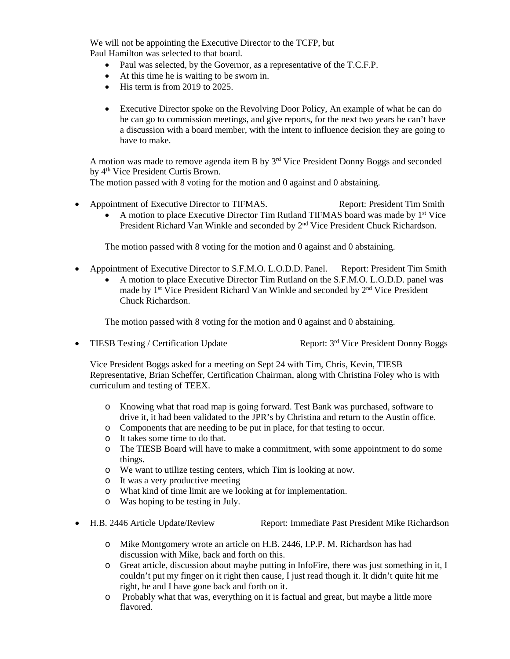We will not be appointing the Executive Director to the TCFP, but Paul Hamilton was selected to that board.

- Paul was selected, by the Governor, as a representative of the T.C.F.P.
- At this time he is waiting to be sworn in.
- His term is from 2019 to 2025.
- Executive Director spoke on the Revolving Door Policy, An example of what he can do he can go to commission meetings, and give reports, for the next two years he can't have a discussion with a board member, with the intent to influence decision they are going to have to make.

A motion was made to remove agenda item B by 3<sup>rd</sup> Vice President Donny Boggs and seconded by 4<sup>th</sup> Vice President Curtis Brown.

The motion passed with 8 voting for the motion and 0 against and 0 abstaining.

• Appointment of Executive Director to TIFMAS. Report: President Tim Smith • A motion to place Executive Director Tim Rutland TIFMAS board was made by  $1<sup>st</sup>$  Vice President Richard Van Winkle and seconded by 2<sup>nd</sup> Vice President Chuck Richardson.

The motion passed with 8 voting for the motion and 0 against and 0 abstaining.

- Appointment of Executive Director to S.F.M.O. L.O.D.D. Panel. Report: President Tim Smith
	- A motion to place Executive Director Tim Rutland on the S.F.M.O. L.O.D.D. panel was made by 1<sup>st</sup> Vice President Richard Van Winkle and seconded by 2<sup>nd</sup> Vice President Chuck Richardson.

The motion passed with 8 voting for the motion and 0 against and 0 abstaining.

• TIESB Testing / Certification Update Report:  $3<sup>rd</sup>$  Vice President Donny Boggs

Vice President Boggs asked for a meeting on Sept 24 with Tim, Chris, Kevin, TIESB Representative, Brian Scheffer, Certification Chairman, along with Christina Foley who is with curriculum and testing of TEEX.

- o Knowing what that road map is going forward. Test Bank was purchased, software to drive it, it had been validated to the JPR's by Christina and return to the Austin office.
- o Components that are needing to be put in place, for that testing to occur.
- o It takes some time to do that.
- o The TIESB Board will have to make a commitment, with some appointment to do some things.
- o We want to utilize testing centers, which Tim is looking at now.
- o It was a very productive meeting
- o What kind of time limit are we looking at for implementation.
- o Was hoping to be testing in July.
- H.B. 2446 Article Update/Review Report: Immediate Past President Mike Richardson

- o Mike Montgomery wrote an article on H.B. 2446, I.P.P. M. Richardson has had discussion with Mike, back and forth on this.
- o Great article, discussion about maybe putting in InfoFire, there was just something in it, I couldn't put my finger on it right then cause, I just read though it. It didn't quite hit me right, he and I have gone back and forth on it.
- o Probably what that was, everything on it is factual and great, but maybe a little more flavored.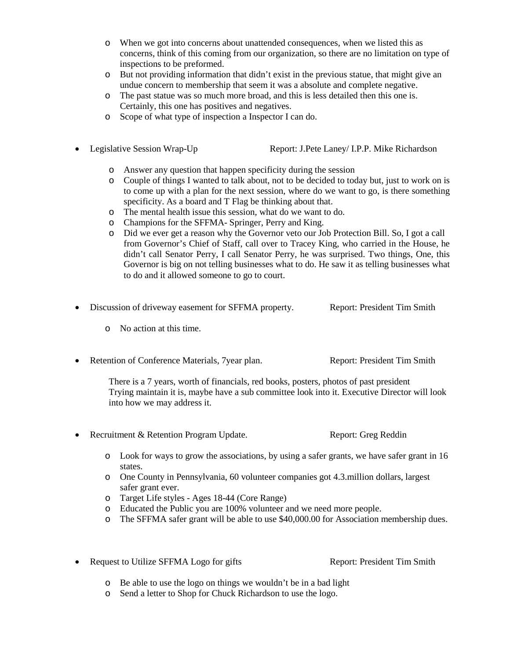- o When we got into concerns about unattended consequences, when we listed this as concerns, think of this coming from our organization, so there are no limitation on type of inspections to be preformed.
- o But not providing information that didn't exist in the previous statue, that might give an undue concern to membership that seem it was a absolute and complete negative.
- o The past statue was so much more broad, and this is less detailed then this one is. Certainly, this one has positives and negatives.
- o Scope of what type of inspection a Inspector I can do.
- Legislative Session Wrap-Up Report: J.Pete Laney/ I.P.P. Mike Richardson

- o Answer any question that happen specificity during the session
- o Couple of things I wanted to talk about, not to be decided to today but, just to work on is to come up with a plan for the next session, where do we want to go, is there something specificity. As a board and T Flag be thinking about that.
- o The mental health issue this session, what do we want to do.
- o Champions for the SFFMA- Springer, Perry and King.
- o Did we ever get a reason why the Governor veto our Job Protection Bill. So, I got a call from Governor's Chief of Staff, call over to Tracey King, who carried in the House, he didn't call Senator Perry, I call Senator Perry, he was surprised. Two things, One, this Governor is big on not telling businesses what to do. He saw it as telling businesses what to do and it allowed someone to go to court.
- Discussion of driveway easement for SFFMA property. Report: President Tim Smith
	- o No action at this time.
- Retention of Conference Materials, 7 year plan. Report: President Tim Smith

There is a 7 years, worth of financials, red books, posters, photos of past president Trying maintain it is, maybe have a sub committee look into it. Executive Director will look into how we may address it.

- Recruitment & Retention Program Update. Report: Greg Reddin
	- o Look for ways to grow the associations, by using a safer grants, we have safer grant in 16 states.
	- o One County in Pennsylvania, 60 volunteer companies got 4.3.million dollars, largest safer grant ever.
	- o Target Life styles Ages 18-44 (Core Range)
	- o Educated the Public you are 100% volunteer and we need more people.
	- o The SFFMA safer grant will be able to use \$40,000.00 for Association membership dues.
- Request to Utilize SFFMA Logo for gifts Report: President Tim Smith

- o Be able to use the logo on things we wouldn't be in a bad light
- o Send a letter to Shop for Chuck Richardson to use the logo.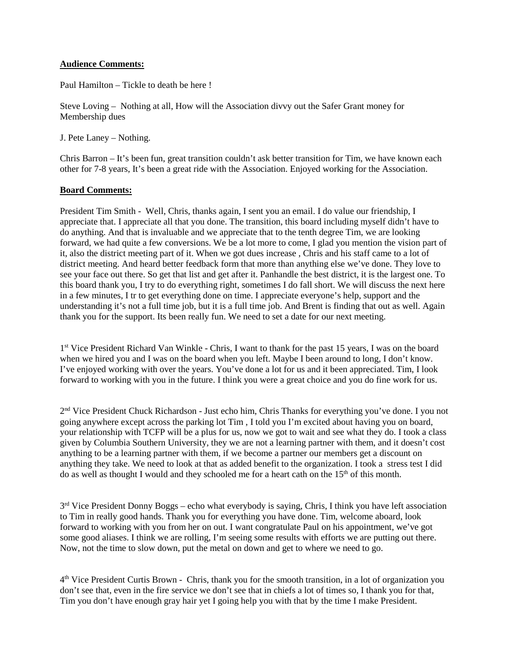# **Audience Comments:**

Paul Hamilton – Tickle to death be here !

Steve Loving – Nothing at all, How will the Association divvy out the Safer Grant money for Membership dues

J. Pete Laney – Nothing.

Chris Barron – It's been fun, great transition couldn't ask better transition for Tim, we have known each other for 7-8 years, It's been a great ride with the Association. Enjoyed working for the Association.

#### **Board Comments:**

President Tim Smith - Well, Chris, thanks again, I sent you an email. I do value our friendship, I appreciate that. I appreciate all that you done. The transition, this board including myself didn't have to do anything. And that is invaluable and we appreciate that to the tenth degree Tim, we are looking forward, we had quite a few conversions. We be a lot more to come, I glad you mention the vision part of it, also the district meeting part of it. When we got dues increase , Chris and his staff came to a lot of district meeting. And heard better feedback form that more than anything else we've done. They love to see your face out there. So get that list and get after it. Panhandle the best district, it is the largest one. To this board thank you, I try to do everything right, sometimes I do fall short. We will discuss the next here in a few minutes, I tr to get everything done on time. I appreciate everyone's help, support and the understanding it's not a full time job, but it is a full time job. And Brent is finding that out as well. Again thank you for the support. Its been really fun. We need to set a date for our next meeting.

1st Vice President Richard Van Winkle - Chris, I want to thank for the past 15 years, I was on the board when we hired you and I was on the board when you left. Maybe I been around to long, I don't know. I've enjoyed working with over the years. You've done a lot for us and it been appreciated. Tim, I look forward to working with you in the future. I think you were a great choice and you do fine work for us.

2<sup>nd</sup> Vice President Chuck Richardson - Just echo him, Chris Thanks for everything you've done. I you not going anywhere except across the parking lot Tim , I told you I'm excited about having you on board, your relationship with TCFP will be a plus for us, now we got to wait and see what they do. I took a class given by Columbia Southern University, they we are not a learning partner with them, and it doesn't cost anything to be a learning partner with them, if we become a partner our members get a discount on anything they take. We need to look at that as added benefit to the organization. I took a stress test I did do as well as thought I would and they schooled me for a heart cath on the  $15<sup>th</sup>$  of this month.

 $3<sup>rd</sup>$  Vice President Donny Boggs – echo what everybody is saying, Chris, I think you have left association to Tim in really good hands. Thank you for everything you have done. Tim, welcome aboard, look forward to working with you from her on out. I want congratulate Paul on his appointment, we've got some good aliases. I think we are rolling, I'm seeing some results with efforts we are putting out there. Now, not the time to slow down, put the metal on down and get to where we need to go.

4th Vice President Curtis Brown - Chris, thank you for the smooth transition, in a lot of organization you don't see that, even in the fire service we don't see that in chiefs a lot of times so, I thank you for that, Tim you don't have enough gray hair yet I going help you with that by the time I make President.